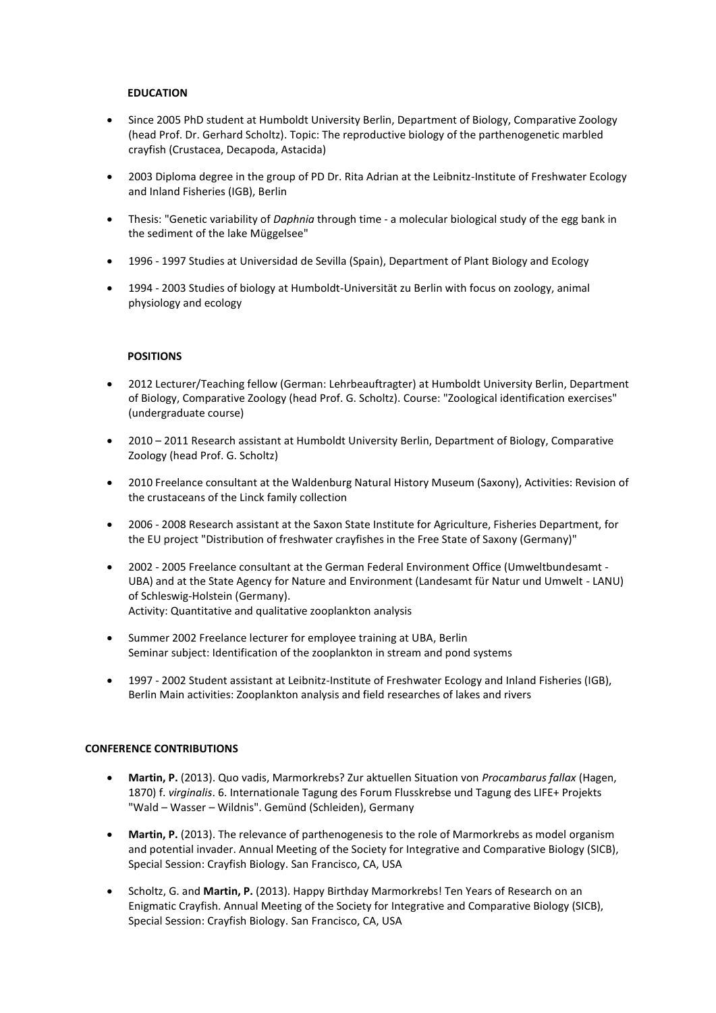## **EDUCATION**

- Since 2005 PhD student at Humboldt University Berlin, Department of Biology, Comparative Zoology (head Prof. Dr. Gerhard Scholtz). Topic: The reproductive biology of the parthenogenetic marbled crayfish (Crustacea, Decapoda, Astacida)
- 2003 Diploma degree in the group of PD Dr. Rita Adrian at the Leibnitz-Institute of Freshwater Ecology and Inland Fisheries (IGB), Berlin
- Thesis: "Genetic variability of *Daphnia* through time a molecular biological study of the egg bank in the sediment of the lake Müggelsee"
- 1996 1997 Studies at Universidad de Sevilla (Spain), Department of Plant Biology and Ecology
- 1994 2003 Studies of biology at Humboldt-Universität zu Berlin with focus on zoology, animal physiology and ecology

## **POSITIONS**

- 2012 Lecturer/Teaching fellow (German: Lehrbeauftragter) at Humboldt University Berlin, Department of Biology, Comparative Zoology (head Prof. G. Scholtz). Course: "Zoological identification exercises" (undergraduate course)
- 2010 2011 Research assistant at Humboldt University Berlin, Department of Biology, Comparative Zoology (head Prof. G. Scholtz)
- 2010 Freelance consultant at the Waldenburg Natural History Museum (Saxony), Activities: Revision of the crustaceans of the Linck family collection
- 2006 2008 Research assistant at the Saxon State Institute for Agriculture, Fisheries Department, for the EU project "Distribution of freshwater crayfishes in the Free State of Saxony (Germany)"
- 2002 2005 Freelance consultant at the German Federal Environment Office (Umweltbundesamt UBA) and at the State Agency for Nature and Environment (Landesamt für Natur und Umwelt - LANU) of Schleswig-Holstein (Germany). Activity: Quantitative and qualitative zooplankton analysis
- Summer 2002 Freelance lecturer for employee training at UBA, Berlin Seminar subject: Identification of the zooplankton in stream and pond systems
- 1997 2002 Student assistant at Leibnitz-Institute of Freshwater Ecology and Inland Fisheries (IGB), Berlin Main activities: Zooplankton analysis and field researches of lakes and rivers

## **CONFERENCE CONTRIBUTIONS**

- **Martin, P.** (2013). Quo vadis, Marmorkrebs? Zur aktuellen Situation von *Procambarus fallax* (Hagen, 1870) f. *virginalis*. 6. Internationale Tagung des Forum Flusskrebse und Tagung des LIFE+ Projekts "Wald – Wasser – Wildnis". Gemünd (Schleiden), Germany
- **Martin, P.** (2013). The relevance of parthenogenesis to the role of Marmorkrebs as model organism and potential invader. Annual Meeting of the Society for Integrative and Comparative Biology (SICB), Special Session: Crayfish Biology. San Francisco, CA, USA
- Scholtz, G. and **Martin, P.** (2013). Happy Birthday Marmorkrebs! Ten Years of Research on an Enigmatic Crayfish. Annual Meeting of the Society for Integrative and Comparative Biology (SICB), Special Session: Crayfish Biology. San Francisco, CA, USA